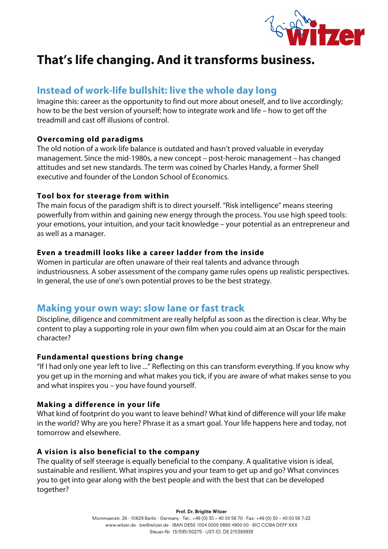

# **That's life changing. And it transforms business.**

# **Instead of work-life bullshit: live the whole day long**

Imagine this: career as the opportunity to find out more about oneself, and to live accordingly; how to be the best version of yourself; how to integrate work and life – how to get off the treadmill and cast off illusions of control.

### **Overcoming old paradigms**

The old notion of a work-life balance is outdated and hasn't proved valuable in everyday management. Since the mid-1980s, a new concept – post-heroic management – has changed attitudes and set new standards. The term was coined by Charles Handy, a former Shell executive and founder of the London School of Economics.

### **Tool box for steerage from within**

The main focus of the paradigm shift is to direct yourself. "Risk intelligence" means steering powerfully from within and gaining new energy through the process. You use high speed tools: your emotions, your intuition, and your tacit knowledge – your potential as an entrepreneur and as well as a manager.

### **Even a treadmill looks like a career ladder from the inside**

Women in particular are often unaware of their real talents and advance through industriousness. A sober assessment of the company game rules opens up realistic perspectives. In general, the use of one's own potential proves to be the best strategy.

## **Making your own way: slow lane or fast track**

Discipline, diligence and commitment are really helpful as soon as the direction is clear. Why be content to play a supporting role in your own film when you could aim at an Oscar for the main character?

### **Fundamental questions bring change**

"If I had only one year left to live ..." Reflecting on this can transform everything. If you know why you get up in the morning and what makes you tick, if you are aware of what makes sense to you and what inspires you – you have found yourself.

### **Making a difference in your life**

What kind of footprint do you want to leave behind? What kind of difference will your life make in the world? Why are you here? Phrase it as a smart goal. Your life happens here and today, not tomorrow and elsewhere.

### **A vision is also beneficial to the company**

The quality of self steerage is equally beneficial to the company. A qualitative vision is ideal, sustainable and resilient. What inspires you and your team to get up and go? What convinces you to get into gear along with the best people and with the best that can be developed together?

> Prof. Dr. Brigitte Witzer Mommsenstr. 26 · 10629 Berlin · Germany · Tel.: +49 (0) 30 - 40 00 56 70 · Fax: +49 (0) 30 - 40 00 56 7-22 www.witzer.de · bw@witzer.de · IBAN DE50 1004 0000 0680 4900 00 · BIC COBA DEFF XXX Steuer-Nr. 13/595/00275 · UST-ID. DE 215389938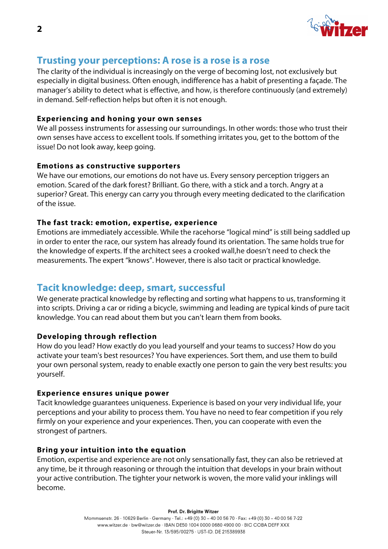

# **Trusting your perceptions: A rose is a rose is a rose**

The clarity of the individual is increasingly on the verge of becoming lost, not exclusively but especially in digital business. Often enough, indifference has a habit of presenting a façade. The manager's ability to detect what is effective, and how, is therefore continuously (and extremely) in demand. Self-reflection helps but often it is not enough.

#### **Experiencing and honing your own senses**

We all possess instruments for assessing our surroundings. In other words: those who trust their own senses have access to excellent tools. If something irritates you, get to the bottom of the issue! Do not look away, keep going.

#### **Emotions as constructive supporters**

We have our emotions, our emotions do not have us. Every sensory perception triggers an emotion. Scared of the dark forest? Brilliant. Go there, with a stick and a torch. Angry at a superior? Great. This energy can carry you through every meeting dedicated to the clarification of the issue.

#### **The fast track: emotion, expertise, experience**

Emotions are immediately accessible. While the racehorse "logical mind" is still being saddled up in order to enter the race, our system has already found its orientation. The same holds true for the knowledge of experts. If the architect sees a crooked wall,he doesn't need to check the measurements. The expert "knows". However, there is also tacit or practical knowledge.

### **Tacit knowledge: deep, smart, successful**

We generate practical knowledge by reflecting and sorting what happens to us, transforming it into scripts. Driving a car or riding a bicycle, swimming and leading are typical kinds of pure tacit knowledge. You can read about them but you can't learn them from books.

### **Developing through reflection**

How do you lead? How exactly do you lead yourself and your teams to success? How do you activate your team's best resources? You have experiences. Sort them, and use them to build your own personal system, ready to enable exactly one person to gain the very best results: you yourself.

#### **Experience ensures unique power**

Tacit knowledge guarantees uniqueness. Experience is based on your very individual life, your perceptions and your ability to process them. You have no need to fear competition if you rely firmly on your experience and your experiences. Then, you can cooperate with even the strongest of partners.

#### **Bring your intuition into the equation**

Emotion, expertise and experience are not only sensationally fast, they can also be retrieved at any time, be it through reasoning or through the intuition that develops in your brain without your active contribution. The tighter your network is woven, the more valid your inklings will become.

Prof. Dr. Brigitte Witzer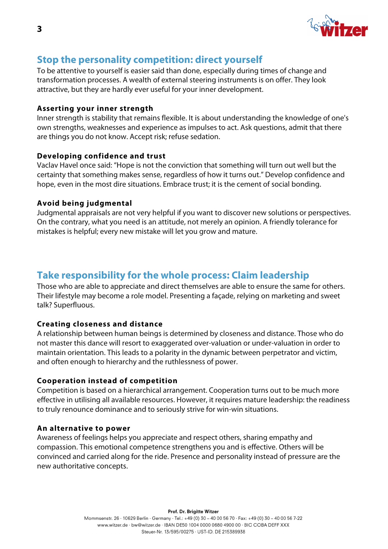

# **Stop the personality competition: direct yourself**

To be attentive to yourself is easier said than done, especially during times of change and transformation processes. A wealth of external steering instruments is on offer. They look attractive, but they are hardly ever useful for your inner development.

### **Asserting your inner strength**

Inner strength is stability that remains flexible. It is about understanding the knowledge of one's own strengths, weaknesses and experience as impulses to act. Ask questions, admit that there are things you do not know. Accept risk; refuse sedation.

### **Developing confidence and trust**

Vaclav Havel once said: "Hope is not the conviction that something will turn out well but the certainty that something makes sense, regardless of how it turns out." Develop confidence and hope, even in the most dire situations. Embrace trust; it is the cement of social bonding.

#### **Avoid being judgmental**

Judgmental appraisals are not very helpful if you want to discover new solutions or perspectives. On the contrary, what you need is an attitude, not merely an opinion. A friendly tolerance for mistakes is helpful; every new mistake will let you grow and mature.

# **Take responsibility for the whole process: Claim leadership**

Those who are able to appreciate and direct themselves are able to ensure the same for others. Their lifestyle may become a role model. Presenting a façade, relying on marketing and sweet talk? Superfluous.

### **Creating closeness and distance**

A relationship between human beings is determined by closeness and distance. Those who do not master this dance will resort to exaggerated over-valuation or under-valuation in order to maintain orientation. This leads to a polarity in the dynamic between perpetrator and victim, and often enough to hierarchy and the ruthlessness of power.

#### **Cooperation instead of competition**

Competition is based on a hierarchical arrangement. Cooperation turns out to be much more effective in utilising all available resources. However, it requires mature leadership: the readiness to truly renounce dominance and to seriously strive for win-win situations.

#### **An alternative to power**

Awareness of feelings helps you appreciate and respect others, sharing empathy and compassion. This emotional competence strengthens you and is effective. Others will be convinced and carried along for the ride. Presence and personality instead of pressure are the new authoritative concepts.